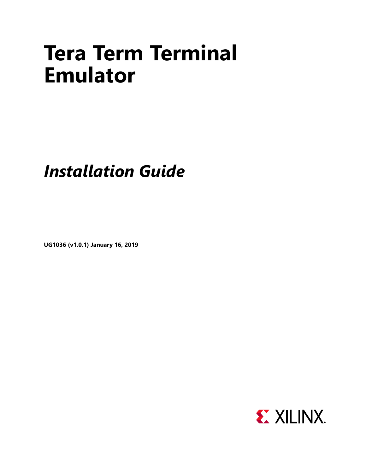# **Tera Term Terminal Emulator**

## *Installation Guide*

**UG1036 (v1.0.1) January 16, 2019**

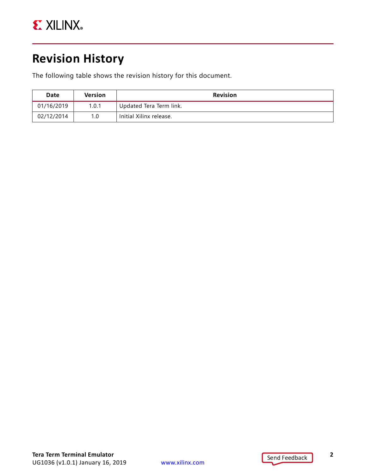

### <span id="page-1-0"></span>**Revision History**

The following table shows the revision history for this document.

| Date       | <b>Version</b> | <b>Revision</b>         |
|------------|----------------|-------------------------|
| 01/16/2019 | 1.0.1          | Updated Tera Term link. |
| 02/12/2014 | 1.0            | Initial Xilinx release. |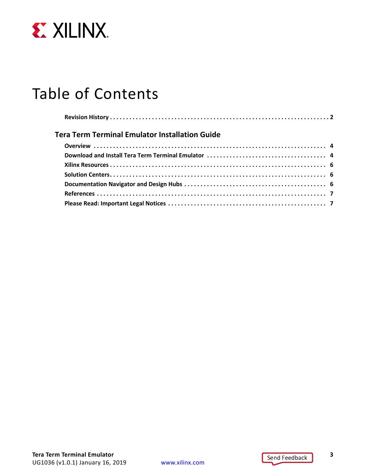

### Table of Contents

| Tera Term Terminal Emulator Installation Guide |  |  |  |  |  |
|------------------------------------------------|--|--|--|--|--|
|                                                |  |  |  |  |  |
|                                                |  |  |  |  |  |
|                                                |  |  |  |  |  |
|                                                |  |  |  |  |  |
|                                                |  |  |  |  |  |
|                                                |  |  |  |  |  |
|                                                |  |  |  |  |  |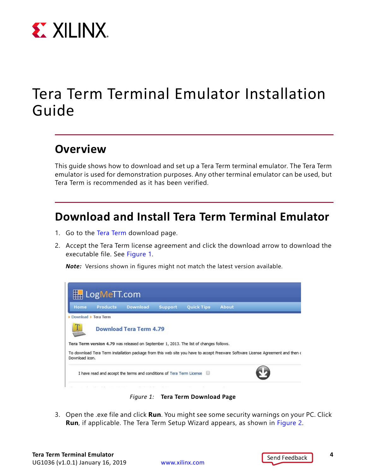

### <span id="page-3-0"></span>Tera Term Terminal Emulator Installation Guide

#### <span id="page-3-1"></span>**Overview**

This guide shows how to download and set up a Tera Term terminal emulator. The Tera Term emulator is used for demonstration purposes. Any other terminal emulator can be used, but Tera Term is recommended as it has been verified.

#### <span id="page-3-2"></span>**Download and Install Tera Term Terminal Emulator**

- 1. Go to the [Tera Term](https://ttssh2.osdn.jp/index.html.en) download page.
- 2. Accept the Tera Term license agreement and click the download arrow to download the executable file. See [Figure 1](#page-3-3).

*Note:* Versions shown in figures might not match the latest version available.

<span id="page-3-3"></span>

*Figure 1:* **Tera Term Download Page**

3. Open the .exe file and click **Run**. You might see some security warnings on your PC. Click **Run**, if applicable. The Tera Term Setup Wizard appears, as shown in [Figure 2](#page-4-0).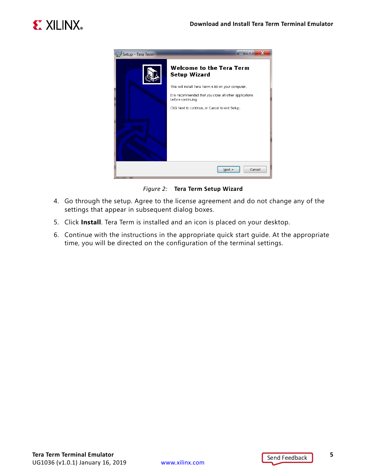<span id="page-4-0"></span>



*Figure 2:* **Tera Term Setup Wizard**

- 4. Go through the setup. Agree to the license agreement and do not change any of the settings that appear in subsequent dialog boxes.
- 5. Click **Install**. Tera Term is installed and an icon is placed on your desktop.
- 6. Continue with the instructions in the appropriate quick start guide. At the appropriate time, you will be directed on the configuration of the terminal settings.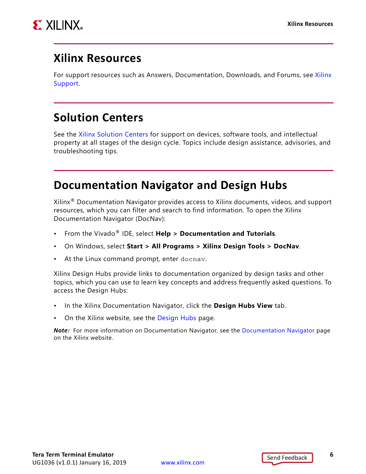

#### <span id="page-5-0"></span>**Xilinx Resources**

For support resources such as Answers, Documentation, Downloads, and Forums, see [Xilinx](https://www.xilinx.com/support)  [Support](https://www.xilinx.com/support).

#### <span id="page-5-1"></span>**Solution Centers**

See the [Xilinx Solution Centers](https://www.xilinx.com/support/solcenters.htm) for support on devices, software tools, and intellectual property at all stages of the design cycle. Topics include design assistance, advisories, and troubleshooting tips.

#### <span id="page-5-2"></span>**Documentation Navigator and Design Hubs**

Xilinx<sup>®</sup> Documentation Navigator provides access to Xilinx documents, videos, and support resources, which you can filter and search to find information. To open the Xilinx Documentation Navigator (DocNav):

- From the Vivado® IDE, select **Help > Documentation and Tutorials**.
- On Windows, select **Start > All Programs > Xilinx Design Tools > DocNav**.
- At the Linux command prompt, enter docnav.

Xilinx Design Hubs provide links to documentation organized by design tasks and other topics, which you can use to learn key concepts and address frequently asked questions. To access the Design Hubs:

- In the Xilinx Documentation Navigator, click the **Design Hubs View** tab.
- On the Xilinx website, see the [Design Hubs](https://www.xilinx.com/cgi-bin/docs/ndoc?t=design+hubs) page.

*Note:* For more information on Documentation Navigator, see the [Documentation Navigator](https://www.xilinx.com/cgi-bin/docs/rdoc?t=docnav) page on the Xilinx website.